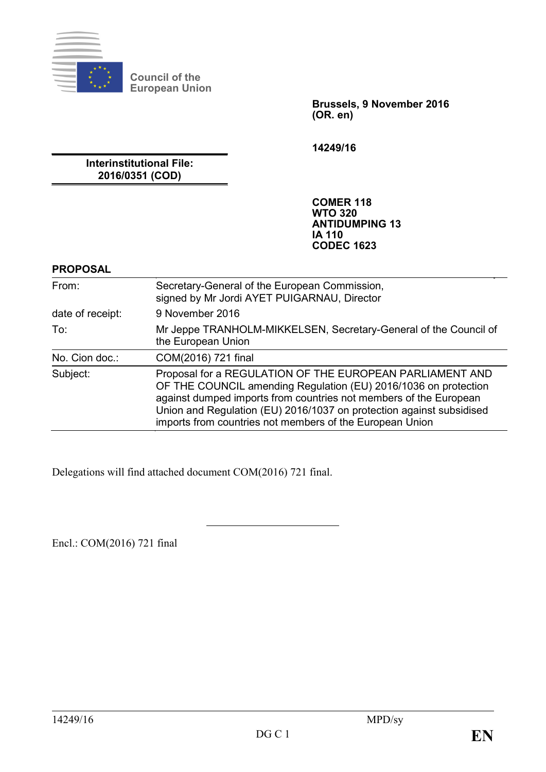

**Council of the European Union**

> **Brussels, 9 November 2016 (OR. en)**

**14249/16**

**Interinstitutional File: 2016/0351 (COD)**

> **COMER 118 WTO 320 ANTIDUMPING 13 IA 110 CODEC 1623**

#### **PROPOSAL**

| From:            | Secretary-General of the European Commission,<br>signed by Mr Jordi AYET PUIGARNAU, Director                                                                                                                                                                                                                                         |
|------------------|--------------------------------------------------------------------------------------------------------------------------------------------------------------------------------------------------------------------------------------------------------------------------------------------------------------------------------------|
| date of receipt: | 9 November 2016                                                                                                                                                                                                                                                                                                                      |
| To:              | Mr Jeppe TRANHOLM-MIKKELSEN, Secretary-General of the Council of<br>the European Union                                                                                                                                                                                                                                               |
| No. Cion doc.:   | COM(2016) 721 final                                                                                                                                                                                                                                                                                                                  |
| Subject:         | Proposal for a REGULATION OF THE EUROPEAN PARLIAMENT AND<br>OF THE COUNCIL amending Regulation (EU) 2016/1036 on protection<br>against dumped imports from countries not members of the European<br>Union and Regulation (EU) 2016/1037 on protection against subsidised<br>imports from countries not members of the European Union |

Delegations will find attached document COM(2016) 721 final.

Encl.: COM(2016) 721 final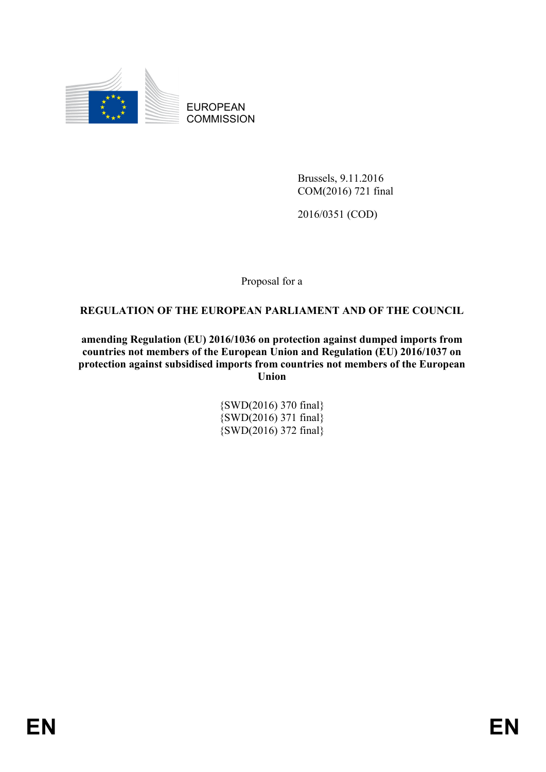

EUROPEAN **COMMISSION** 

> Brussels, 9.11.2016 COM(2016) 721 final

2016/0351 (COD)

Proposal for a

## **REGULATION OF THE EUROPEAN PARLIAMENT AND OF THE COUNCIL**

**amending Regulation (EU) 2016/1036 on protection against dumped imports from countries not members of the European Union and Regulation (EU) 2016/1037 on protection against subsidised imports from countries not members of the European Union**

> {SWD(2016) 370 final} {SWD(2016) 371 final} {SWD(2016) 372 final}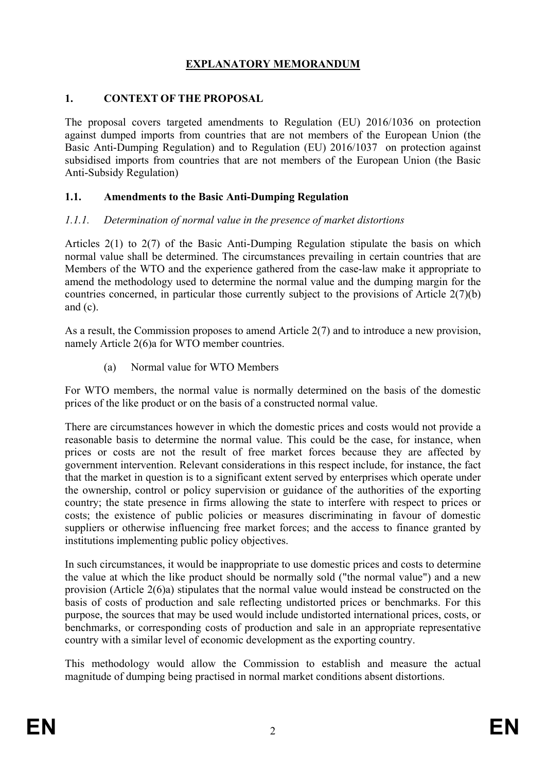## **EXPLANATORY MEMORANDUM**

### **1. CONTEXT OF THE PROPOSAL**

The proposal covers targeted amendments to Regulation (EU) 2016/1036 on protection against dumped imports from countries that are not members of the European Union (the Basic Anti-Dumping Regulation) and to Regulation (EU) 2016/1037 on protection against subsidised imports from countries that are not members of the European Union (the Basic Anti-Subsidy Regulation)

### **1.1. Amendments to the Basic Anti-Dumping Regulation**

### *1.1.1. Determination of normal value in the presence of market distortions*

Articles 2(1) to 2(7) of the Basic Anti-Dumping Regulation stipulate the basis on which normal value shall be determined. The circumstances prevailing in certain countries that are Members of the WTO and the experience gathered from the case-law make it appropriate to amend the methodology used to determine the normal value and the dumping margin for the countries concerned, in particular those currently subject to the provisions of Article 2(7)(b) and (c).

As a result, the Commission proposes to amend Article 2(7) and to introduce a new provision, namely Article 2(6)a for WTO member countries.

(a) Normal value for WTO Members

For WTO members, the normal value is normally determined on the basis of the domestic prices of the like product or on the basis of a constructed normal value.

There are circumstances however in which the domestic prices and costs would not provide a reasonable basis to determine the normal value. This could be the case, for instance, when prices or costs are not the result of free market forces because they are affected by government intervention. Relevant considerations in this respect include, for instance, the fact that the market in question is to a significant extent served by enterprises which operate under the ownership, control or policy supervision or guidance of the authorities of the exporting country; the state presence in firms allowing the state to interfere with respect to prices or costs; the existence of public policies or measures discriminating in favour of domestic suppliers or otherwise influencing free market forces; and the access to finance granted by institutions implementing public policy objectives.

In such circumstances, it would be inappropriate to use domestic prices and costs to determine the value at which the like product should be normally sold ("the normal value") and a new provision (Article 2(6)a) stipulates that the normal value would instead be constructed on the basis of costs of production and sale reflecting undistorted prices or benchmarks. For this purpose, the sources that may be used would include undistorted international prices, costs, or benchmarks, or corresponding costs of production and sale in an appropriate representative country with a similar level of economic development as the exporting country.

This methodology would allow the Commission to establish and measure the actual magnitude of dumping being practised in normal market conditions absent distortions.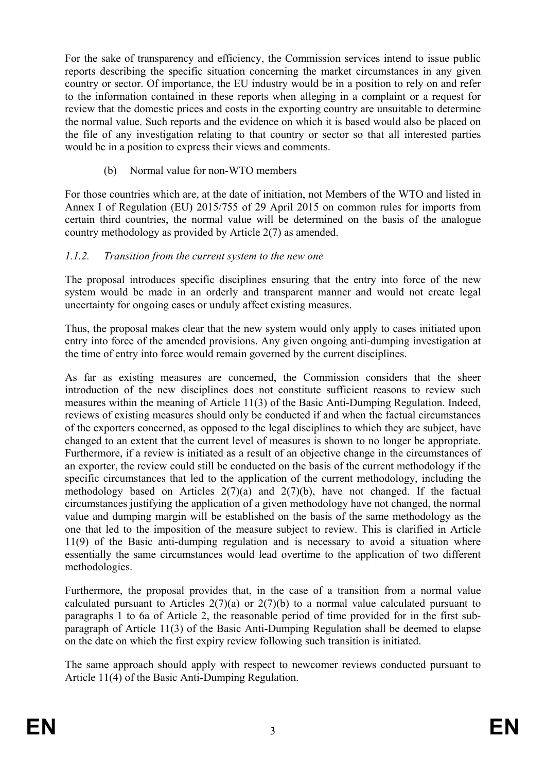For the sake of transparency and efficiency, the Commission services intend to issue public reports describing the specific situation concerning the market circumstances in any given country or sector. Of importance, the EU industry would be in a position to rely on and refer to the information contained in these reports when alleging in a complaint or a request for review that the domestic prices and costs in the exporting country are unsuitable to determine the normal value. Such reports and the evidence on which it is based would also be placed on the file of any investigation relating to that country or sector so that all interested parties would be in a position to express their views and comments.

(b) Normal value for non-WTO members

For those countries which are, at the date of initiation, not Members of the WTO and listed in Annex I of Regulation (EU) 2015/755 of 29 April 2015 on common rules for imports from certain third countries, the normal value will be determined on the basis of the analogue country methodology as provided by Article 2(7) as amended.

## *1.1.2. Transition from the current system to the new one*

The proposal introduces specific disciplines ensuring that the entry into force of the new system would be made in an orderly and transparent manner and would not create legal uncertainty for ongoing cases or unduly affect existing measures.

Thus, the proposal makes clear that the new system would only apply to cases initiated upon entry into force of the amended provisions. Any given ongoing anti-dumping investigation at the time of entry into force would remain governed by the current disciplines.

As far as existing measures are concerned, the Commission considers that the sheer introduction of the new disciplines does not constitute sufficient reasons to review such measures within the meaning of Article 11(3) of the Basic Anti-Dumping Regulation. Indeed, reviews of existing measures should only be conducted if and when the factual circumstances of the exporters concerned, as opposed to the legal disciplines to which they are subject, have changed to an extent that the current level of measures is shown to no longer be appropriate. Furthermore, if a review is initiated as a result of an objective change in the circumstances of an exporter, the review could still be conducted on the basis of the current methodology if the specific circumstances that led to the application of the current methodology, including the methodology based on Articles  $2(7)(a)$  and  $2(7)(b)$ , have not changed. If the factual circumstances justifying the application of a given methodology have not changed, the normal value and dumping margin will be established on the basis of the same methodology as the one that led to the imposition of the measure subject to review. This is clarified in Article 11(9) of the Basic anti-dumping regulation and is necessary to avoid a situation where essentially the same circumstances would lead overtime to the application of two different methodologies.

Furthermore, the proposal provides that, in the case of a transition from a normal value calculated pursuant to Articles  $2(7)(a)$  or  $2(7)(b)$  to a normal value calculated pursuant to paragraphs 1 to 6a of Article 2, the reasonable period of time provided for in the first subparagraph of Article 11(3) of the Basic Anti-Dumping Regulation shall be deemed to elapse on the date on which the first expiry review following such transition is initiated.

The same approach should apply with respect to newcomer reviews conducted pursuant to Article 11(4) of the Basic Anti-Dumping Regulation.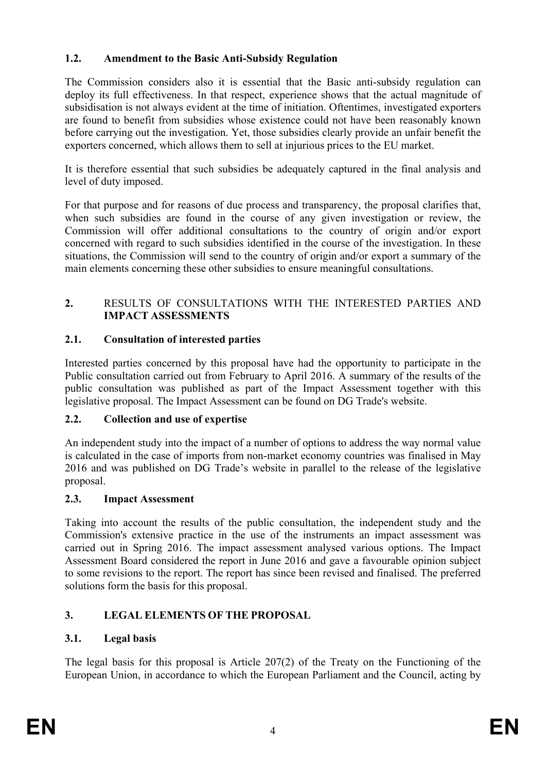## **1.2. Amendment to the Basic Anti-Subsidy Regulation**

The Commission considers also it is essential that the Basic anti-subsidy regulation can deploy its full effectiveness. In that respect, experience shows that the actual magnitude of subsidisation is not always evident at the time of initiation. Oftentimes, investigated exporters are found to benefit from subsidies whose existence could not have been reasonably known before carrying out the investigation. Yet, those subsidies clearly provide an unfair benefit the exporters concerned, which allows them to sell at injurious prices to the EU market.

It is therefore essential that such subsidies be adequately captured in the final analysis and level of duty imposed.

For that purpose and for reasons of due process and transparency, the proposal clarifies that, when such subsidies are found in the course of any given investigation or review, the Commission will offer additional consultations to the country of origin and/or export concerned with regard to such subsidies identified in the course of the investigation. In these situations, the Commission will send to the country of origin and/or export a summary of the main elements concerning these other subsidies to ensure meaningful consultations.

## **2.** RESULTS OF CONSULTATIONS WITH THE INTERESTED PARTIES AND **IMPACT ASSESSMENTS**

## **2.1. Consultation of interested parties**

Interested parties concerned by this proposal have had the opportunity to participate in the Public consultation carried out from February to April 2016. A summary of the results of the public consultation was published as part of the Impact Assessment together with this legislative proposal. The Impact Assessment can be found on DG Trade's website.

### **2.2. Collection and use of expertise**

An independent study into the impact of a number of options to address the way normal value is calculated in the case of imports from non-market economy countries was finalised in May 2016 and was published on DG Trade's website in parallel to the release of the legislative proposal.

### **2.3. Impact Assessment**

Taking into account the results of the public consultation, the independent study and the Commission's extensive practice in the use of the instruments an impact assessment was carried out in Spring 2016. The impact assessment analysed various options. The Impact Assessment Board considered the report in June 2016 and gave a favourable opinion subject to some revisions to the report. The report has since been revised and finalised. The preferred solutions form the basis for this proposal.

## **3. LEGAL ELEMENTS OF THE PROPOSAL**

## **3.1. Legal basis**

The legal basis for this proposal is Article 207(2) of the Treaty on the Functioning of the European Union, in accordance to which the European Parliament and the Council, acting by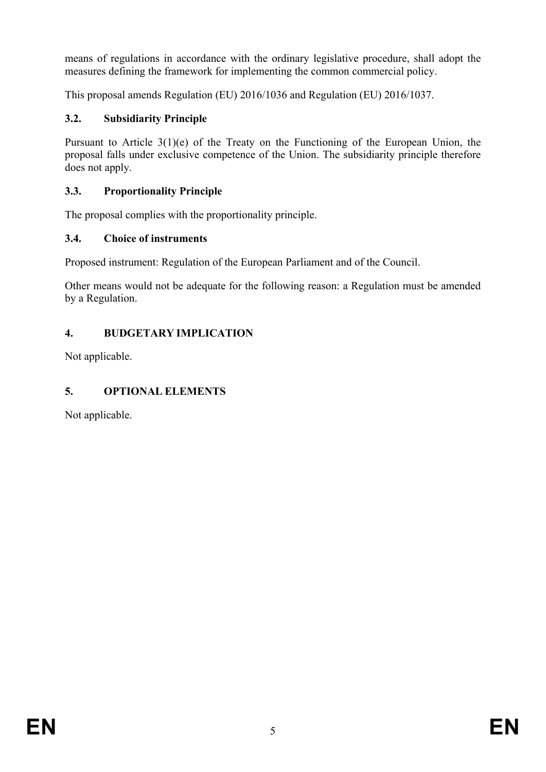means of regulations in accordance with the ordinary legislative procedure, shall adopt the measures defining the framework for implementing the common commercial policy.

This proposal amends Regulation (EU) 2016/1036 and Regulation (EU) 2016/1037.

# **3.2. Subsidiarity Principle**

Pursuant to Article 3(1)(e) of the Treaty on the Functioning of the European Union, the proposal falls under exclusive competence of the Union. The subsidiarity principle therefore does not apply.

# **3.3. Proportionality Principle**

The proposal complies with the proportionality principle.

# **3.4. Choice of instruments**

Proposed instrument: Regulation of the European Parliament and of the Council.

Other means would not be adequate for the following reason: a Regulation must be amended by a Regulation.

# **4. BUDGETARY IMPLICATION**

Not applicable.

# **5. OPTIONAL ELEMENTS**

Not applicable.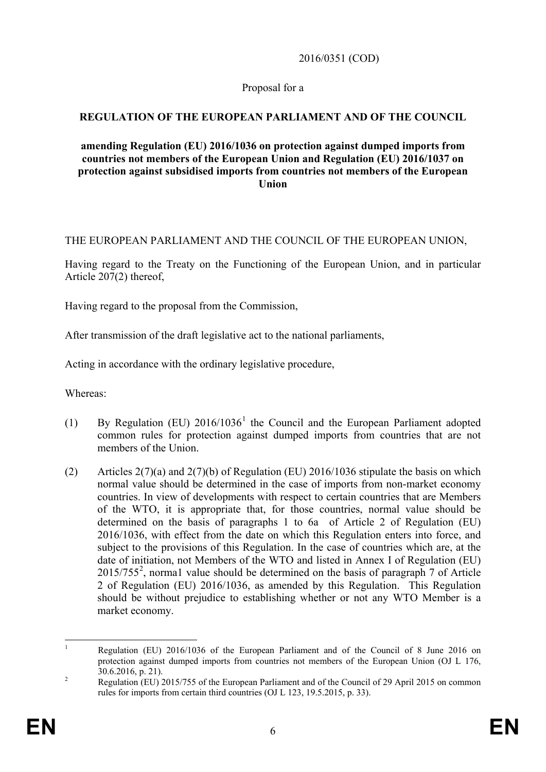2016/0351 (COD)

### Proposal for a

### **REGULATION OF THE EUROPEAN PARLIAMENT AND OF THE COUNCIL**

#### **amending Regulation (EU) 2016/1036 on protection against dumped imports from countries not members of the European Union and Regulation (EU) 2016/1037 on protection against subsidised imports from countries not members of the European Union**

#### THE EUROPEAN PARLIAMENT AND THE COUNCIL OF THE EUROPEAN UNION,

Having regard to the Treaty on the Functioning of the European Union, and in particular Article 207(2) thereof,

Having regard to the proposal from the Commission,

After transmission of the draft legislative act to the national parliaments,

Acting in accordance with the ordinary legislative procedure,

Whereas:

- ([1](#page-6-0)) By Regulation (EU)  $2016/1036<sup>1</sup>$  the Council and the European Parliament adopted common rules for protection against dumped imports from countries that are not members of the Union.
- (2) Articles 2(7)(a) and 2(7)(b) of Regulation (EU) 2016/1036 stipulate the basis on which normal value should be determined in the case of imports from non-market economy countries. In view of developments with respect to certain countries that are Members of the WTO, it is appropriate that, for those countries, normal value should be determined on the basis of paragraphs 1 to 6a of Article 2 of Regulation (EU) 2016/1036, with effect from the date on which this Regulation enters into force, and subject to the provisions of this Regulation. In the case of countries which are, at the date of initiation, not Members of the WTO and listed in Annex I of Regulation (EU) 2015/755[2](#page-6-1) , norma1 value should be determined on the basis of paragraph 7 of Article 2 of Regulation (EU) 2016/1036, as amended by this Regulation. This Regulation should be without prejudice to establishing whether or not any WTO Member is a market economy.

<span id="page-6-0"></span><sup>&</sup>lt;sup>1</sup> Regulation (EU) 2016/1036 of the European Parliament and of the Council of 8 June 2016 on protection against dumped imports from countries not members of the European Union (OJ L 176, 30.6.2016, p. 21).<br><sup>2</sup> Regulation (EU) 2015/755 of the European Parliament and of the Council of 29 April 2015 on common

<span id="page-6-1"></span>rules for imports from certain third countries (OJ L 123, 19.5.2015, p. 33).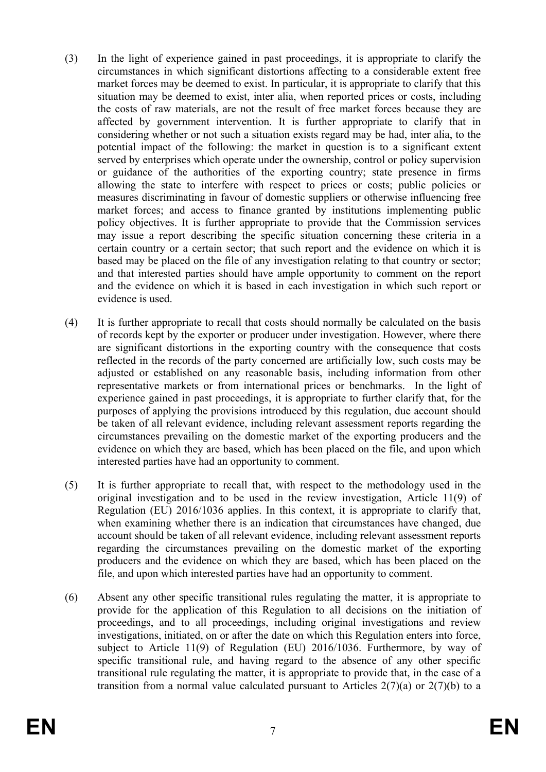- (3) In the light of experience gained in past proceedings, it is appropriate to clarify the circumstances in which significant distortions affecting to a considerable extent free market forces may be deemed to exist. In particular, it is appropriate to clarify that this situation may be deemed to exist, inter alia, when reported prices or costs, including the costs of raw materials, are not the result of free market forces because they are affected by government intervention. It is further appropriate to clarify that in considering whether or not such a situation exists regard may be had, inter alia, to the potential impact of the following: the market in question is to a significant extent served by enterprises which operate under the ownership, control or policy supervision or guidance of the authorities of the exporting country; state presence in firms allowing the state to interfere with respect to prices or costs; public policies or measures discriminating in favour of domestic suppliers or otherwise influencing free market forces; and access to finance granted by institutions implementing public policy objectives. It is further appropriate to provide that the Commission services may issue a report describing the specific situation concerning these criteria in a certain country or a certain sector; that such report and the evidence on which it is based may be placed on the file of any investigation relating to that country or sector; and that interested parties should have ample opportunity to comment on the report and the evidence on which it is based in each investigation in which such report or evidence is used.
- (4) It is further appropriate to recall that costs should normally be calculated on the basis of records kept by the exporter or producer under investigation. However, where there are significant distortions in the exporting country with the consequence that costs reflected in the records of the party concerned are artificially low, such costs may be adjusted or established on any reasonable basis, including information from other representative markets or from international prices or benchmarks. In the light of experience gained in past proceedings, it is appropriate to further clarify that, for the purposes of applying the provisions introduced by this regulation, due account should be taken of all relevant evidence, including relevant assessment reports regarding the circumstances prevailing on the domestic market of the exporting producers and the evidence on which they are based, which has been placed on the file, and upon which interested parties have had an opportunity to comment.
- (5) It is further appropriate to recall that, with respect to the methodology used in the original investigation and to be used in the review investigation, Article 11(9) of Regulation (EU) 2016/1036 applies. In this context, it is appropriate to clarify that, when examining whether there is an indication that circumstances have changed, due account should be taken of all relevant evidence, including relevant assessment reports regarding the circumstances prevailing on the domestic market of the exporting producers and the evidence on which they are based, which has been placed on the file, and upon which interested parties have had an opportunity to comment.
- (6) Absent any other specific transitional rules regulating the matter, it is appropriate to provide for the application of this Regulation to all decisions on the initiation of proceedings, and to all proceedings, including original investigations and review investigations, initiated, on or after the date on which this Regulation enters into force, subject to Article 11(9) of Regulation (EU) 2016/1036. Furthermore, by way of specific transitional rule, and having regard to the absence of any other specific transitional rule regulating the matter, it is appropriate to provide that, in the case of a transition from a normal value calculated pursuant to Articles  $2(7)(a)$  or  $2(7)(b)$  to a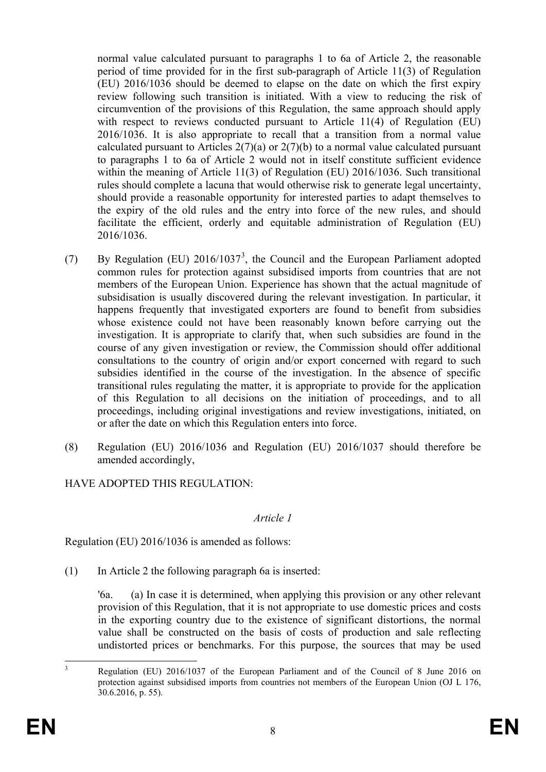normal value calculated pursuant to paragraphs 1 to 6a of Article 2, the reasonable period of time provided for in the first sub-paragraph of Article 11(3) of Regulation (EU) 2016/1036 should be deemed to elapse on the date on which the first expiry review following such transition is initiated. With a view to reducing the risk of circumvention of the provisions of this Regulation, the same approach should apply with respect to reviews conducted pursuant to Article 11(4) of Regulation (EU) 2016/1036. It is also appropriate to recall that a transition from a normal value calculated pursuant to Articles  $2(7)(a)$  or  $2(7)(b)$  to a normal value calculated pursuant to paragraphs 1 to 6a of Article 2 would not in itself constitute sufficient evidence within the meaning of Article 11(3) of Regulation (EU) 2016/1036. Such transitional rules should complete a lacuna that would otherwise risk to generate legal uncertainty, should provide a reasonable opportunity for interested parties to adapt themselves to the expiry of the old rules and the entry into force of the new rules, and should facilitate the efficient, orderly and equitable administration of Regulation (EU) 2016/1036.

- (7) By Regulation (EU)  $2016/1037^3$  $2016/1037^3$  $2016/1037^3$ , the Council and the European Parliament adopted common rules for protection against subsidised imports from countries that are not members of the European Union. Experience has shown that the actual magnitude of subsidisation is usually discovered during the relevant investigation. In particular, it happens frequently that investigated exporters are found to benefit from subsidies whose existence could not have been reasonably known before carrying out the investigation. It is appropriate to clarify that, when such subsidies are found in the course of any given investigation or review, the Commission should offer additional consultations to the country of origin and/or export concerned with regard to such subsidies identified in the course of the investigation. In the absence of specific transitional rules regulating the matter, it is appropriate to provide for the application of this Regulation to all decisions on the initiation of proceedings, and to all proceedings, including original investigations and review investigations, initiated, on or after the date on which this Regulation enters into force.
- (8) Regulation (EU) 2016/1036 and Regulation (EU) 2016/1037 should therefore be amended accordingly,

HAVE ADOPTED THIS REGULATION:

### *Article 1*

Regulation (EU) 2016/1036 is amended as follows:

(1) In Article 2 the following paragraph 6a is inserted:

'6a. (a) In case it is determined, when applying this provision or any other relevant provision of this Regulation, that it is not appropriate to use domestic prices and costs in the exporting country due to the existence of significant distortions, the normal value shall be constructed on the basis of costs of production and sale reflecting undistorted prices or benchmarks. For this purpose, the sources that may be used

<span id="page-8-0"></span><sup>&</sup>lt;sup>3</sup> Regulation (EU) 2016/1037 of the European Parliament and of the Council of 8 June 2016 on protection against subsidised imports from countries not members of the European Union (OJ L 176, 30.6.2016, p. 55).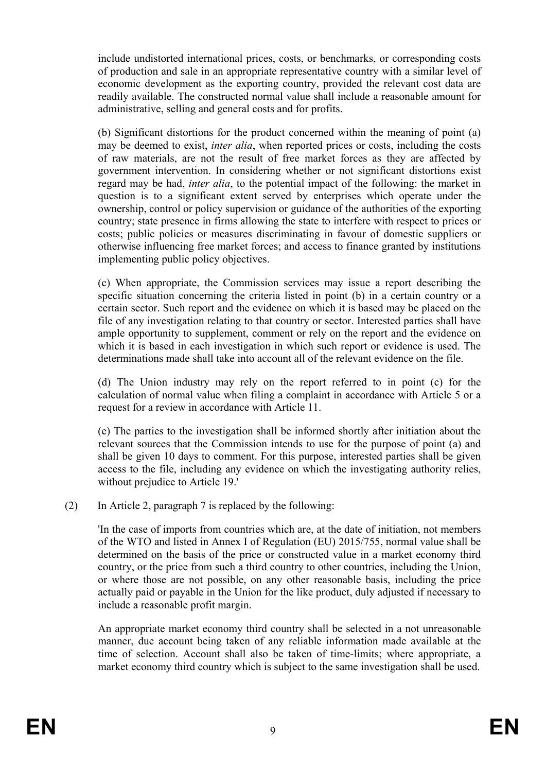include undistorted international prices, costs, or benchmarks, or corresponding costs of production and sale in an appropriate representative country with a similar level of economic development as the exporting country, provided the relevant cost data are readily available. The constructed normal value shall include a reasonable amount for administrative, selling and general costs and for profits.

(b) Significant distortions for the product concerned within the meaning of point (a) may be deemed to exist, *inter alia*, when reported prices or costs, including the costs of raw materials, are not the result of free market forces as they are affected by government intervention. In considering whether or not significant distortions exist regard may be had, *inter alia*, to the potential impact of the following: the market in question is to a significant extent served by enterprises which operate under the ownership, control or policy supervision or guidance of the authorities of the exporting country; state presence in firms allowing the state to interfere with respect to prices or costs; public policies or measures discriminating in favour of domestic suppliers or otherwise influencing free market forces; and access to finance granted by institutions implementing public policy objectives.

(c) When appropriate, the Commission services may issue a report describing the specific situation concerning the criteria listed in point (b) in a certain country or a certain sector. Such report and the evidence on which it is based may be placed on the file of any investigation relating to that country or sector. Interested parties shall have ample opportunity to supplement, comment or rely on the report and the evidence on which it is based in each investigation in which such report or evidence is used. The determinations made shall take into account all of the relevant evidence on the file.

(d) The Union industry may rely on the report referred to in point (c) for the calculation of normal value when filing a complaint in accordance with Article 5 or a request for a review in accordance with Article 11.

(e) The parties to the investigation shall be informed shortly after initiation about the relevant sources that the Commission intends to use for the purpose of point (a) and shall be given 10 days to comment. For this purpose, interested parties shall be given access to the file, including any evidence on which the investigating authority relies, without prejudice to Article 19.'

(2) In Article 2, paragraph 7 is replaced by the following:

'In the case of imports from countries which are, at the date of initiation, not members of the WTO and listed in Annex I of Regulation (EU) 2015/755, normal value shall be determined on the basis of the price or constructed value in a market economy third country, or the price from such a third country to other countries, including the Union, or where those are not possible, on any other reasonable basis, including the price actually paid or payable in the Union for the like product, duly adjusted if necessary to include a reasonable profit margin.

An appropriate market economy third country shall be selected in a not unreasonable manner, due account being taken of any reliable information made available at the time of selection. Account shall also be taken of time-limits; where appropriate, a market economy third country which is subject to the same investigation shall be used.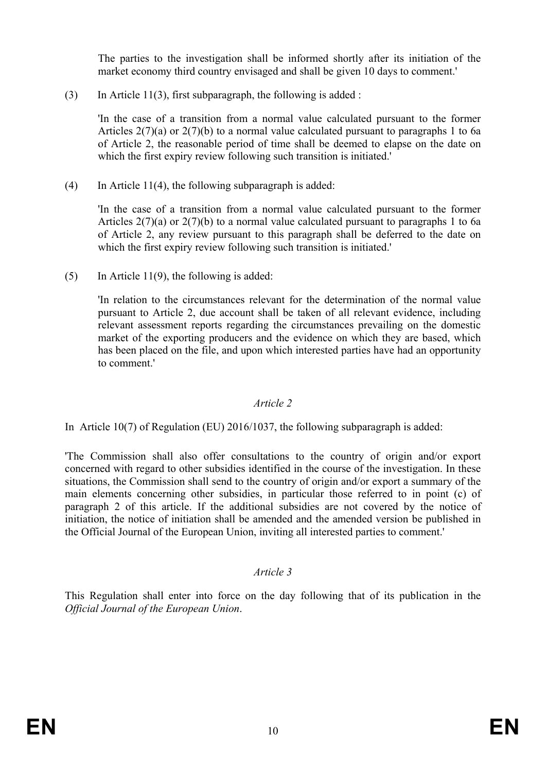The parties to the investigation shall be informed shortly after its initiation of the market economy third country envisaged and shall be given 10 days to comment.'

(3) In Article 11(3), first subparagraph, the following is added :

'In the case of a transition from a normal value calculated pursuant to the former Articles  $2(7)(a)$  or  $2(7)(b)$  to a normal value calculated pursuant to paragraphs 1 to 6a of Article 2, the reasonable period of time shall be deemed to elapse on the date on which the first expiry review following such transition is initiated.'

(4) In Article 11(4), the following subparagraph is added:

'In the case of a transition from a normal value calculated pursuant to the former Articles  $2(7)(a)$  or  $2(7)(b)$  to a normal value calculated pursuant to paragraphs 1 to 6a of Article 2, any review pursuant to this paragraph shall be deferred to the date on which the first expiry review following such transition is initiated.'

(5) In Article 11(9), the following is added:

'In relation to the circumstances relevant for the determination of the normal value pursuant to Article 2, due account shall be taken of all relevant evidence, including relevant assessment reports regarding the circumstances prevailing on the domestic market of the exporting producers and the evidence on which they are based, which has been placed on the file, and upon which interested parties have had an opportunity to comment.'

#### *Article 2*

In Article 10(7) of Regulation (EU) 2016/1037, the following subparagraph is added:

'The Commission shall also offer consultations to the country of origin and/or export concerned with regard to other subsidies identified in the course of the investigation. In these situations, the Commission shall send to the country of origin and/or export a summary of the main elements concerning other subsidies, in particular those referred to in point (c) of paragraph 2 of this article. If the additional subsidies are not covered by the notice of initiation, the notice of initiation shall be amended and the amended version be published in the Official Journal of the European Union, inviting all interested parties to comment.'

### *Article 3*

This Regulation shall enter into force on the day following that of its publication in the *Official Journal of the European Union*.